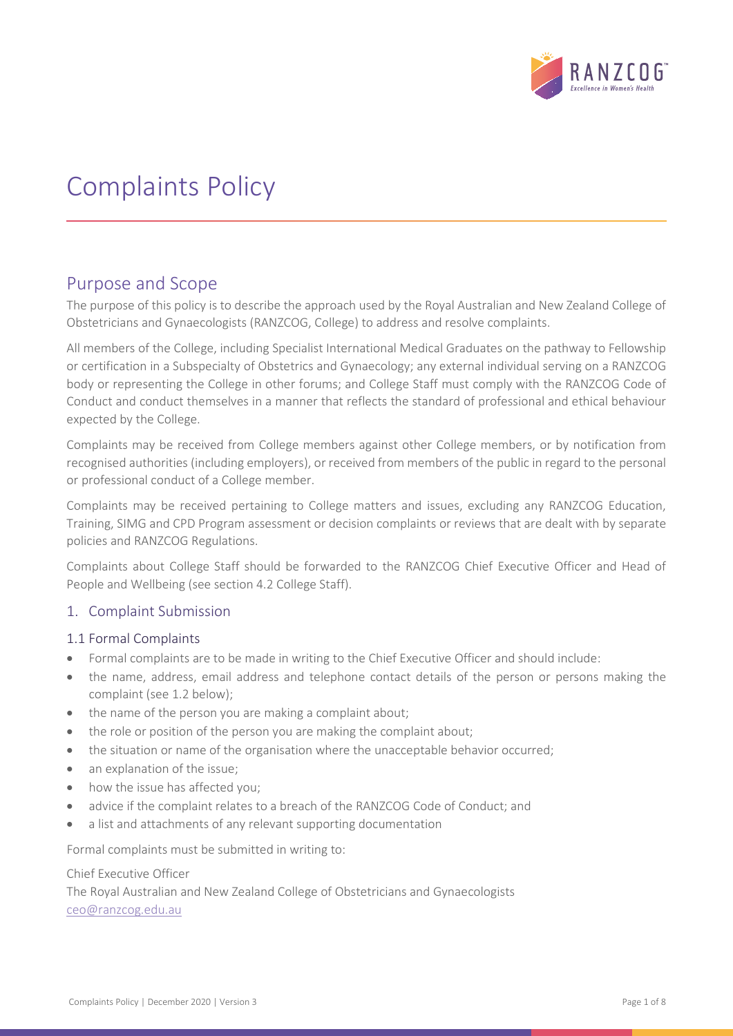

# Complaints Policy

## Purpose and Scope

The purpose of this policy is to describe the approach used by the Royal Australian and New Zealand College of Obstetricians and Gynaecologists (RANZCOG, College) to address and resolve complaints.

All members of the College, including Specialist International Medical Graduates on the pathway to Fellowship or certification in a Subspecialty of Obstetrics and Gynaecology; any external individual serving on a RANZCOG body or representing the College in other forums; and College Staff must comply with the RANZCOG Code of Conduct and conduct themselves in a manner that reflects the standard of professional and ethical behaviour expected by the College.

Complaints may be received from College members against other College members, or by notification from recognised authorities (including employers), or received from members of the public in regard to the personal or professional conduct of a College member.

Complaints may be received pertaining to College matters and issues, excluding any RANZCOG Education, Training, SIMG and CPD Program assessment or decision complaints or reviews that are dealt with by separate policies and RANZCOG Regulations.

Complaints about College Staff should be forwarded to the RANZCOG Chief Executive Officer and Head of People and Wellbeing (see section 4.2 College Staff).

#### 1. Complaint Submission

#### 1.1 Formal Complaints

- Formal complaints are to be made in writing to the Chief Executive Officer and should include:
- the name, address, email address and telephone contact details of the person or persons making the complaint (see 1.2 below);
- the name of the person you are making a complaint about;
- the role or position of the person you are making the complaint about;
- the situation or name of the organisation where the unacceptable behavior occurred;
- an explanation of the issue;
- how the issue has affected you;
- advice if the complaint relates to a breach of the RANZCOG Code of Conduct; and
- a list and attachments of any relevant supporting documentation

Formal complaints must be submitted in writing to:

#### Chief Executive Officer

The Royal Australian and New Zealand College of Obstetricians and Gynaecologists [ceo@ranzcog.edu.au](mailto:ceo@ranzcog.edu.au)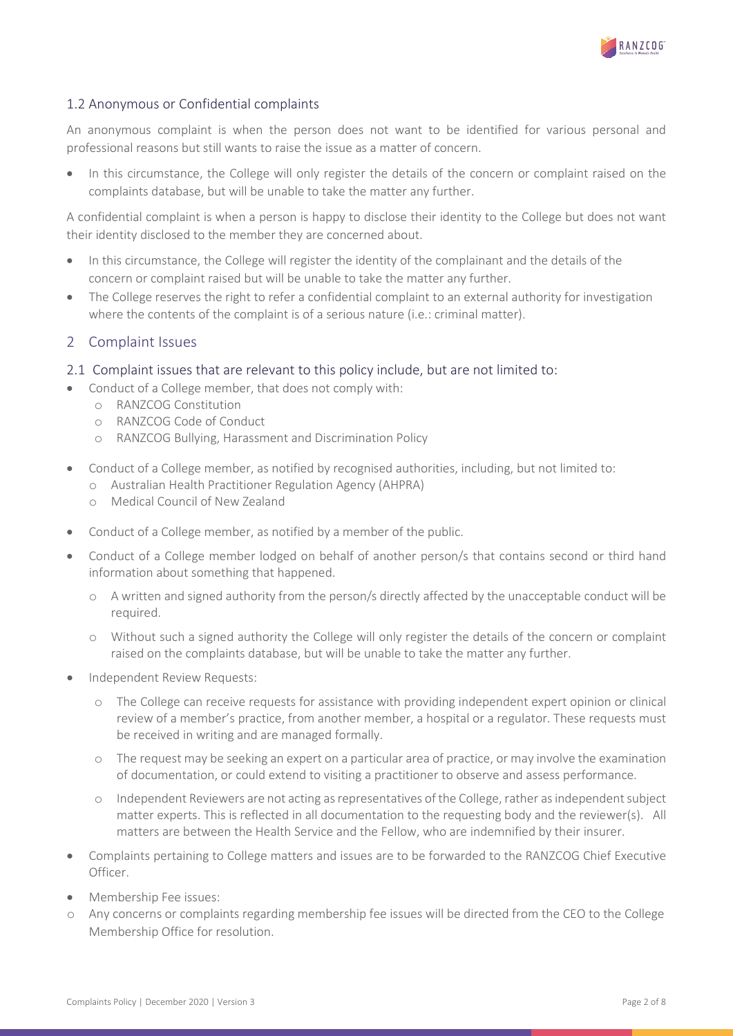

## 1.2 Anonymous or Confidential complaints

An anonymous complaint is when the person does not want to be identified for various personal and professional reasons but still wants to raise the issue as a matter of concern.

• In this circumstance, the College will only register the details of the concern or complaint raised on the complaints database, but will be unable to take the matter any further.

A confidential complaint is when a person is happy to disclose their identity to the College but does not want their identity disclosed to the member they are concerned about.

- In this circumstance, the College will register the identity of the complainant and the details of the concern or complaint raised but will be unable to take the matter any further.
- The College reserves the right to refer a confidential complaint to an external authority for investigation where the contents of the complaint is of a serious nature (i.e.: criminal matter).

#### 2 Complaint Issues

- 2.1 Complaint issues that are relevant to this policy include, but are not limited to:
- Conduct of a College member, that does not comply with:
	- o RANZCOG Constitution
	- o RANZCOG Code of Conduct
	- o RANZCOG Bullying, Harassment and Discrimination Policy
	- Conduct of a College member, as notified by recognised authorities, including, but not limited to:
		- o Australian Health Practitioner Regulation Agency (AHPRA)
		- o Medical Council of New Zealand
- Conduct of a College member, as notified by a member of the public.
- Conduct of a College member lodged on behalf of another person/s that contains second or third hand information about something that happened.
	- o A written and signed authority from the person/s directly affected by the unacceptable conduct will be required.
	- o Without such a signed authority the College will only register the details of the concern or complaint raised on the complaints database, but will be unable to take the matter any further.
- Independent Review Requests:
	- o The College can receive requests for assistance with providing independent expert opinion or clinical review of a member's practice, from another member, a hospital or a regulator. These requests must be received in writing and are managed formally.
	- o The request may be seeking an expert on a particular area of practice, or may involve the examination of documentation, or could extend to visiting a practitioner to observe and assess performance.
	- o Independent Reviewers are not acting as representatives of the College, rather as independent subject matter experts. This is reflected in all documentation to the requesting body and the reviewer(s). All matters are between the Health Service and the Fellow, who are indemnified by their insurer.
- Complaints pertaining to College matters and issues are to be forwarded to the RANZCOG Chief Executive Officer.
- Membership Fee issues:
- o Any concerns or complaints regarding membership fee issues will be directed from the CEO to the College Membership Office for resolution.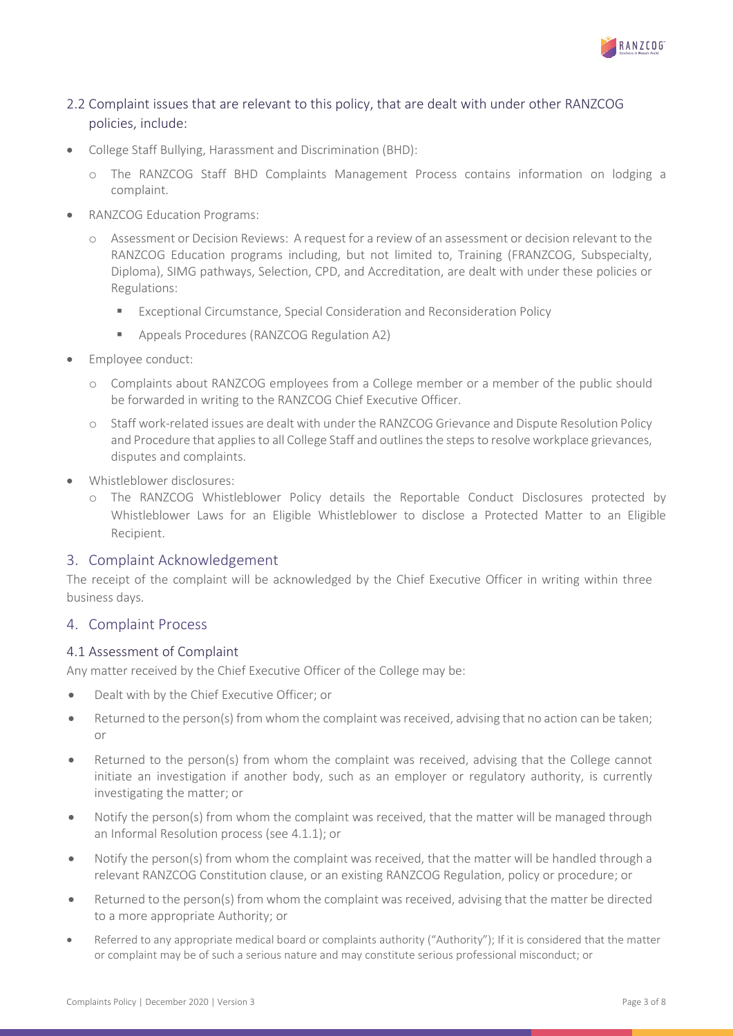

## 2.2 Complaint issues that are relevant to this policy, that are dealt with under other RANZCOG policies, include:

- College Staff Bullying, Harassment and Discrimination (BHD):
	- o The RANZCOG Staff BHD Complaints Management Process contains information on lodging a complaint.
- RANZCOG Education Programs:
	- o Assessment or Decision Reviews: A request for a review of an assessment or decision relevant to the RANZCOG Education programs including, but not limited to, Training (FRANZCOG, Subspecialty, Diploma), SIMG pathways, Selection, CPD, and Accreditation, are dealt with under these policies or Regulations:
		- Exceptional Circumstance, Special Consideration and Reconsideration Policy
		- Appeals Procedures (RANZCOG Regulation A2)
- Employee conduct:
	- o Complaints about RANZCOG employees from a College member or a member of the public should be forwarded in writing to the RANZCOG Chief Executive Officer.
	- o Staff work-related issues are dealt with under the RANZCOG Grievance and Dispute Resolution Policy and Procedure that applies to all College Staff and outlines the steps to resolve workplace grievances, disputes and complaints.
- Whistleblower disclosures:
	- o The RANZCOG Whistleblower Policy details the Reportable Conduct Disclosures protected by Whistleblower Laws for an Eligible Whistleblower to disclose a Protected Matter to an Eligible Recipient.

#### 3. Complaint Acknowledgement

The receipt of the complaint will be acknowledged by the Chief Executive Officer in writing within three business days.

#### 4. Complaint Process

#### 4.1 Assessment of Complaint

Any matter received by the Chief Executive Officer of the College may be:

- Dealt with by the Chief Executive Officer; or
- Returned to the person(s) from whom the complaint was received, advising that no action can be taken; or
- Returned to the person(s) from whom the complaint was received, advising that the College cannot initiate an investigation if another body, such as an employer or regulatory authority, is currently investigating the matter; or
- Notify the person(s) from whom the complaint was received, that the matter will be managed through an Informal Resolution process (see 4.1.1); or
- Notify the person(s) from whom the complaint was received, that the matter will be handled through a relevant RANZCOG Constitution clause, or an existing RANZCOG Regulation, policy or procedure; or
- Returned to the person(s) from whom the complaint was received, advising that the matter be directed to a more appropriate Authority; or
- Referred to any appropriate medical board or complaints authority ("Authority"); If it is considered that the matter or complaint may be of such a serious nature and may constitute serious professional misconduct; or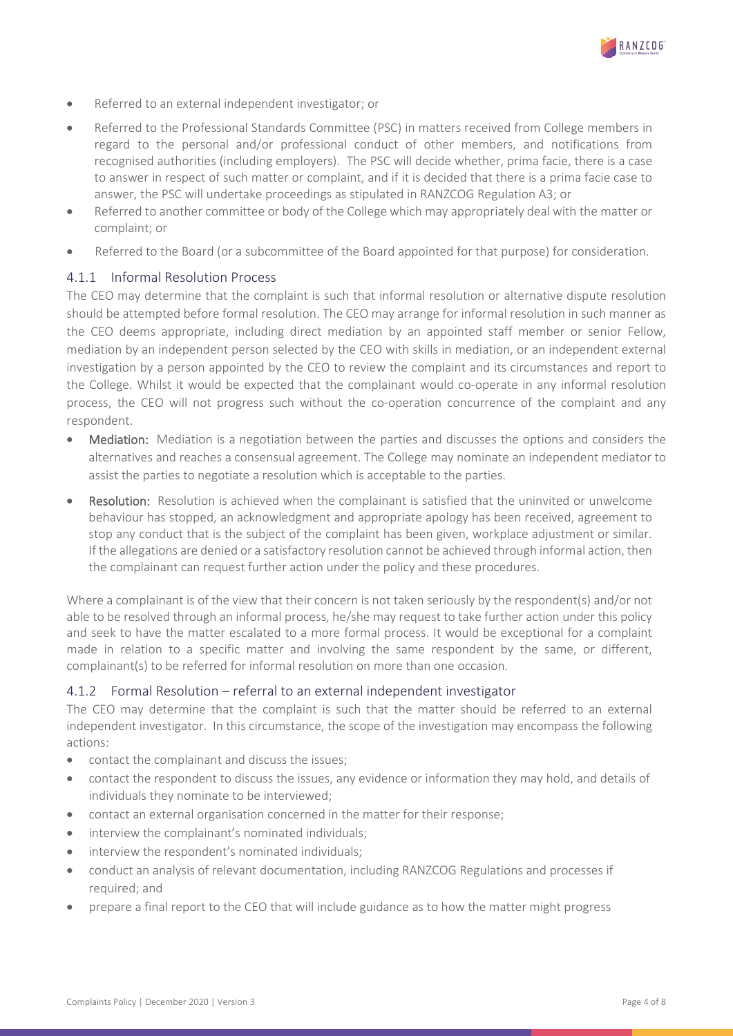

- Referred to an external independent investigator; or
- Referred to the Professional Standards Committee (PSC) in matters received from College members in regard to the personal and/or professional conduct of other members, and notifications from recognised authorities (including employers). The PSC will decide whether, prima facie, there is a case to answer in respect of such matter or complaint, and if it is decided that there is a prima facie case to answer, the PSC will undertake proceedings as stipulated in RANZCOG Regulation A3; or
- Referred to another committee or body of the College which may appropriately deal with the matter or complaint; or
- Referred to the Board (or a subcommittee of the Board appointed for that purpose) for consideration.

#### 4.1.1 Informal Resolution Process

The CEO may determine that the complaint is such that informal resolution or alternative dispute resolution should be attempted before formal resolution. The CEO may arrange for informal resolution in such manner as the CEO deems appropriate, including direct mediation by an appointed staff member or senior Fellow, mediation by an independent person selected by the CEO with skills in mediation, or an independent external investigation by a person appointed by the CEO to review the complaint and its circumstances and report to the College. Whilst it would be expected that the complainant would co-operate in any informal resolution process, the CEO will not progress such without the co-operation concurrence of the complaint and any respondent.

- Mediation: Mediation is a negotiation between the parties and discusses the options and considers the alternatives and reaches a consensual agreement. The College may nominate an independent mediator to assist the parties to negotiate a resolution which is acceptable to the parties.
- **Resolution:** Resolution is achieved when the complainant is satisfied that the uninvited or unwelcome behaviour has stopped, an acknowledgment and appropriate apology has been received, agreement to stop any conduct that is the subject of the complaint has been given, workplace adjustment or similar. If the allegations are denied or a satisfactory resolution cannot be achieved through informal action, then the complainant can request further action under the policy and these procedures.

Where a complainant is of the view that their concern is not taken seriously by the respondent(s) and/or not able to be resolved through an informal process, he/she may request to take further action under this policy and seek to have the matter escalated to a more formal process. It would be exceptional for a complaint made in relation to a specific matter and involving the same respondent by the same, or different, complainant(s) to be referred for informal resolution on more than one occasion.

#### 4.1.2 Formal Resolution – referral to an external independent investigator

The CEO may determine that the complaint is such that the matter should be referred to an external independent investigator. In this circumstance, the scope of the investigation may encompass the following actions:

- contact the complainant and discuss the issues;
- contact the respondent to discuss the issues, any evidence or information they may hold, and details of individuals they nominate to be interviewed;
- contact an external organisation concerned in the matter for their response;
- interview the complainant's nominated individuals;
- interview the respondent's nominated individuals;
- conduct an analysis of relevant documentation, including RANZCOG Regulations and processes if required; and
- prepare a final report to the CEO that will include guidance as to how the matter might progress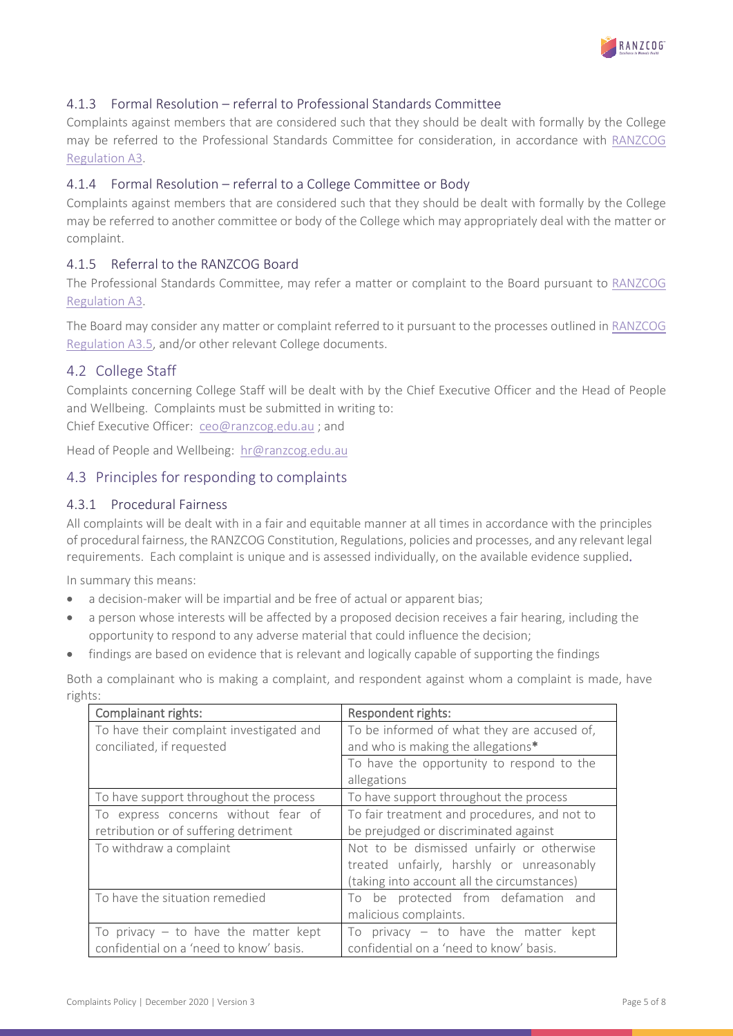

## 4.1.3 Formal Resolution – referral to Professional Standards Committee

Complaints against members that are considered such that they should be dealt with formally by the College may be referred to the Professional Standards Committee for consideration, in accordance with [RANZCOG](https://ranzcog.edu.au/RANZCOG_SITE/media/RANZCOG-MEDIA/Governance/Constitutions%20and%20Regulations/RANZCOG-Regulations.pdf)  [Regulation A3.](https://ranzcog.edu.au/RANZCOG_SITE/media/RANZCOG-MEDIA/Governance/Constitutions%20and%20Regulations/RANZCOG-Regulations.pdf)

#### 4.1.4 Formal Resolution – referral to a College Committee or Body

Complaints against members that are considered such that they should be dealt with formally by the College may be referred to another committee or body of the College which may appropriately deal with the matter or complaint.

## 4.1.5 Referral to the RANZCOG Board

The Professional Standards Committee, may refer a matter or complaint to the Board pursuant to [RANZCOG](https://ranzcog.edu.au/RANZCOG_SITE/media/RANZCOG-MEDIA/Governance/Constitutions%20and%20Regulations/RANZCOG-Regulations.pdf)  [Regulation A3.](https://ranzcog.edu.au/RANZCOG_SITE/media/RANZCOG-MEDIA/Governance/Constitutions%20and%20Regulations/RANZCOG-Regulations.pdf)

The Board may consider any matter or complaint referred to it pursuant to the processes outlined in [RANZCOG](https://ranzcog.edu.au/RANZCOG_SITE/media/RANZCOG-MEDIA/Governance/Constitutions%20and%20Regulations/RANZCOG-Regulations.pdf)  [Regulation A3.5,](https://ranzcog.edu.au/RANZCOG_SITE/media/RANZCOG-MEDIA/Governance/Constitutions%20and%20Regulations/RANZCOG-Regulations.pdf) and/or other relevant College documents.

## 4.2 College Staff

Complaints concerning College Staff will be dealt with by the Chief Executive Officer and the Head of People and Wellbeing. Complaints must be submitted in writing to:

Chief Executive Officer: [ceo@ranzcog.edu.au](mailto:ceo@ranzcog.edu.au) ; and

Head of People and Wellbeing: [hr@ranzcog.edu.au](mailto:hr@ranzcog.edu.au)

## 4.3 Principles for responding to complaints

#### 4.3.1 Procedural Fairness

All complaints will be dealt with in a fair and equitable manner at all times in accordance with the principles of procedural fairness, the RANZCOG Constitution, Regulations, policies and processes, and any relevant legal requirements. Each complaint is unique and is assessed individually, on the available evidence supplied.

In summary this means:

- a decision-maker will be impartial and be free of actual or apparent bias;
- a person whose interests will be affected by a proposed decision receives a fair hearing, including the opportunity to respond to any adverse material that could influence the decision;
- findings are based on evidence that is relevant and logically capable of supporting the findings

Both a complainant who is making a complaint, and respondent against whom a complaint is made, have rights:

| Complainant rights:                      | Respondent rights:                           |
|------------------------------------------|----------------------------------------------|
| To have their complaint investigated and | To be informed of what they are accused of,  |
| conciliated, if requested                | and who is making the allegations*           |
|                                          | To have the opportunity to respond to the    |
|                                          | allegations                                  |
| To have support throughout the process   | To have support throughout the process       |
| To express concerns without fear of      | To fair treatment and procedures, and not to |
| retribution or of suffering detriment    | be prejudged or discriminated against        |
| To withdraw a complaint                  | Not to be dismissed unfairly or otherwise    |
|                                          | treated unfairly, harshly or unreasonably    |
|                                          | (taking into account all the circumstances)  |
| To have the situation remedied           | To be protected from defamation and          |
|                                          | malicious complaints.                        |
| To privacy $-$ to have the matter kept   | To privacy $-$ to have the matter kept       |
| confidential on a 'need to know' basis.  | confidential on a 'need to know' basis.      |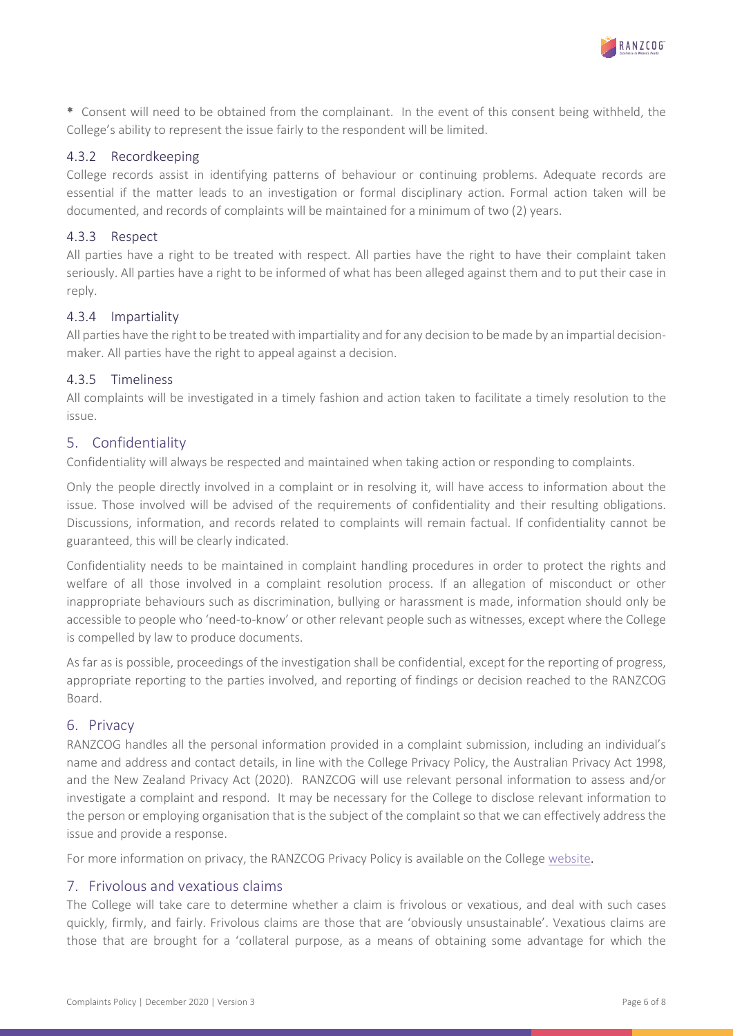

\* Consent will need to be obtained from the complainant. In the event of this consent being withheld, the College's ability to represent the issue fairly to the respondent will be limited.

#### 4.3.2 Recordkeeping

College records assist in identifying patterns of behaviour or continuing problems. Adequate records are essential if the matter leads to an investigation or formal disciplinary action. Formal action taken will be documented, and records of complaints will be maintained for a minimum of two (2) years.

## 4.3.3 Respect

All parties have a right to be treated with respect. All parties have the right to have their complaint taken seriously. All parties have a right to be informed of what has been alleged against them and to put their case in reply.

#### 4.3.4 Impartiality

All parties have the right to be treated with impartiality and for any decision to be made by an impartial decisionmaker. All parties have the right to appeal against a decision.

#### 4.3.5 Timeliness

All complaints will be investigated in a timely fashion and action taken to facilitate a timely resolution to the issue.

## 5. Confidentiality

Confidentiality will always be respected and maintained when taking action or responding to complaints.

Only the people directly involved in a complaint or in resolving it, will have access to information about the issue. Those involved will be advised of the requirements of confidentiality and their resulting obligations. Discussions, information, and records related to complaints will remain factual. If confidentiality cannot be guaranteed, this will be clearly indicated.

Confidentiality needs to be maintained in complaint handling procedures in order to protect the rights and welfare of all those involved in a complaint resolution process. If an allegation of misconduct or other inappropriate behaviours such as discrimination, bullying or harassment is made, information should only be accessible to people who 'need-to-know' or other relevant people such as witnesses, except where the College is compelled by law to produce documents.

As far as is possible, proceedings of the investigation shall be confidential, except for the reporting of progress, appropriate reporting to the parties involved, and reporting of findings or decision reached to the RANZCOG Board.

#### 6. Privacy

RANZCOG handles all the personal information provided in a complaint submission, including an individual's name and address and contact details, in line with the College Privacy Policy, the Australian Privacy Act 1998, and the New Zealand Privacy Act (2020). RANZCOG will use relevant personal information to assess and/or investigate a complaint and respond. It may be necessary for the College to disclose relevant information to the person or employing organisation that is the subject of the complaint so that we can effectively address the issue and provide a response.

For more information on privacy, the RANZCOG Privacy Policy is available on the College [website.](https://ranzcog.edu.au/our-college/governance/policies-procedures/privacy-policy)

#### 7. Frivolous and vexatious claims

The College will take care to determine whether a claim is frivolous or vexatious, and deal with such cases quickly, firmly, and fairly. Frivolous claims are those that are 'obviously unsustainable'. Vexatious claims are those that are brought for a 'collateral purpose, as a means of obtaining some advantage for which the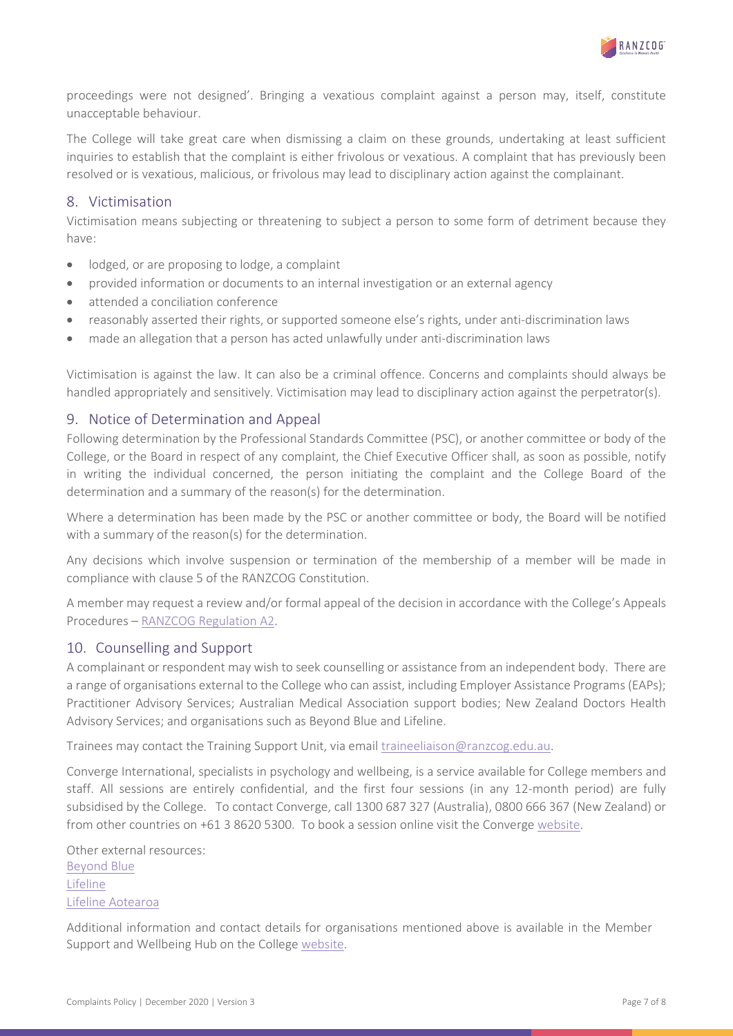

proceedings were not designed'. Bringing a vexatious complaint against a person may, itself, constitute unacceptable behaviour.

The College will take great care when dismissing a claim on these grounds, undertaking at least sufficient inquiries to establish that the complaint is either frivolous or vexatious. A complaint that has previously been resolved or is vexatious, malicious, or frivolous may lead to disciplinary action against the complainant.

#### 8. Victimisation

Victimisation means subjecting or threatening to subject a person to some form of detriment because they have:

- lodged, or are proposing to lodge, a complaint
- provided information or documents to an internal investigation or an external agency
- attended a conciliation conference
- reasonably asserted their rights, or supported someone else's rights, under anti-discrimination laws
- made an allegation that a person has acted unlawfully under anti-discrimination laws

Victimisation is against the law. It can also be a criminal offence. Concerns and complaints should always be handled appropriately and sensitively. Victimisation may lead to disciplinary action against the perpetrator(s).

#### 9. Notice of Determination and Appeal

Following determination by the Professional Standards Committee (PSC), or another committee or body of the College, or the Board in respect of any complaint, the Chief Executive Officer shall, as soon as possible, notify in writing the individual concerned, the person initiating the complaint and the College Board of the determination and a summary of the reason(s) for the determination.

Where a determination has been made by the PSC or another committee or body, the Board will be notified with a summary of the reason(s) for the determination.

Any decisions which involve suspension or termination of the membership of a member will be made in compliance with clause 5 of the RANZCOG Constitution.

A member may request a review and/or formal appeal of the decision in accordance with the College's Appeals Procedures – [RANZCOG Regulation A2.](https://ranzcog.edu.au/RANZCOG_SITE/media/RANZCOG-MEDIA/Governance/Constitutions%20and%20Regulations/RANZCOG-Regulations.pdf)

#### 10. Counselling and Support

A complainant or respondent may wish to seek counselling or assistance from an independent body. There are a range of organisations external to the College who can assist, including Employer Assistance Programs (EAPs); Practitioner Advisory Services; Australian Medical Association support bodies; New Zealand Doctors Health Advisory Services; and organisations such as Beyond Blue and Lifeline.

Trainees may contact the Training Support Unit, via email [traineeliaison@ranzcog.edu.au.](mailto:traineeliaison@ranzcog.edu.au)

Converge International, specialists in psychology and wellbeing, is a service available for College members and staff. All sessions are entirely confidential, and the first four sessions (in any 12-month period) are fully subsidised by the College. To contact Converge, call 1300 687 327 (Australia), 0800 666 367 (New Zealand) or from other countries on +61 3 8620 5300. To book a session online visit the Converg[e website.](https://www.convergeinternational.com.au/cvi/about-us/contact-us/make-an-eap-booking)

Other external resources: [Beyond Blue](https://www.beyondblue.org.au/) [Lifeline](https://www.lifeline.org.au/) [Lifeline Aotearoa](https://www.lifeline.org.nz/)

Additional information and contact details for organisations mentioned above is available in the Member Support and Wellbeing Hub on the College [website.](https://ranzcog.edu.au/members/member-support-and-wellbeing)